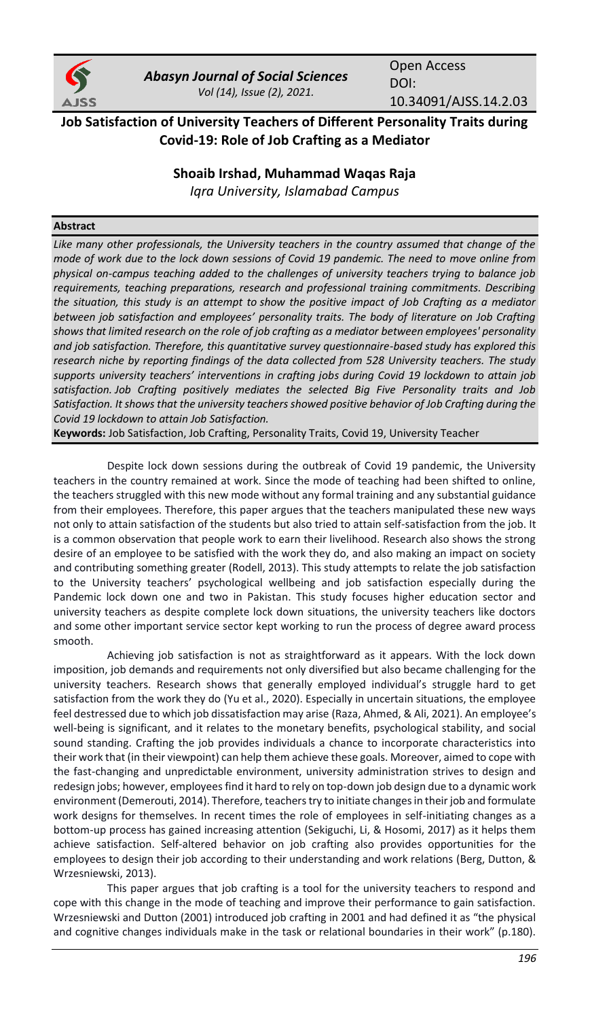

*Abasyn Journal of Social Sciences Vol (14), Issue (2), 2021.*

Open Access DOI: 10.34091/AJSS.14.2.03

# **Job Satisfaction of University Teachers of Different Personality Traits during Covid-19: Role of Job Crafting as a Mediator**

# **Shoaib Irshad, Muhammad Waqas Raja**

*Iqra University, Islamabad Campus*

### **Abstract**

*Like many other professionals, the University teachers in the country assumed that change of the mode of work due to the lock down sessions of Covid 19 pandemic. The need to move online from physical on-campus teaching added to the challenges of university teachers trying to balance job requirements, teaching preparations, research and professional training commitments. Describing the situation, this study is an attempt to show the positive impact of Job Crafting as a mediator between job satisfaction and employees' personality traits. The body of literature on Job Crafting shows that limited research on the role of job crafting as a mediator between employees' personality and job satisfaction. Therefore, this quantitative survey questionnaire-based study has explored this research niche by reporting findings of the data collected from 528 University teachers. The study supports university teachers' interventions in crafting jobs during Covid 19 lockdown to attain job satisfaction. Job Crafting positively mediates the selected Big Five Personality traits and Job Satisfaction. It shows that the university teachers showed positive behavior of Job Crafting during the Covid 19 lockdown to attain Job Satisfaction.*

**Keywords:** Job Satisfaction, Job Crafting, Personality Traits, Covid 19, University Teacher

Despite lock down sessions during the outbreak of Covid 19 pandemic, the University teachers in the country remained at work. Since the mode of teaching had been shifted to online, the teachers struggled with this new mode without any formal training and any substantial guidance from their employees. Therefore, this paper argues that the teachers manipulated these new ways not only to attain satisfaction of the students but also tried to attain self-satisfaction from the job. It is a common observation that people work to earn their livelihood. Research also shows the strong desire of an employee to be satisfied with the work they do, and also making an impact on society and contributing something greater [\(Rodell, 2013\).](#page-10-0) This study attempts to relate the job satisfaction to the University teachers' psychological wellbeing and job satisfaction especially during the Pandemic lock down one and two in Pakistan. This study focuses higher education sector and university teachers as despite complete lock down situations, the university teachers like doctors and some other important service sector kept working to run the process of degree award process smooth.

Achieving job satisfaction is not as straightforward as it appears. With the lock down imposition, job demands and requirements not only diversified but also became challenging for the university teachers. Research shows that generally employed individual's struggle hard to get satisfaction from the work they do [\(Yu et al., 2020\)](#page-11-0). Especially in uncertain situations, the employee feel destressed due to which job dissatisfaction may arise [\(Raza, Ahmed, & Ali, 2021\)](#page-10-1). An employee's well-being is significant, and it relates to the monetary benefits, psychological stability, and social sound standing. Crafting the job provides individuals a chance to incorporate characteristics into their work that (in their viewpoint) can help them achieve these goals. Moreover, aimed to cope with the fast-changing and unpredictable environment, university administration strives to design and redesign jobs; however, employees find it hard to rely on top-down job design due to a dynamic work environment [\(Demerouti, 2014\).](#page-9-0) Therefore, teachers try to initiate changes in their job and formulate work designs for themselves. In recent times the role of employees in self-initiating changes as a bottom-up process has gained increasing attention [\(Sekiguchi, Li, & Hosomi, 2017\)](#page-10-2) as it helps them achieve satisfaction. Self-altered behavior on job crafting also provides opportunities for the employees to design their job according to their understanding and work relations [\(Berg, Dutton, &](#page-9-1)  [Wrzesniewski, 2013\)](#page-9-1).

This paper argues that job crafting is a tool for the university teachers to respond and cope with this change in the mode of teaching and improve their performance to gain satisfaction. [Wrzesniewski and Dutton \(2001\)](#page-11-1) introduced job crafting in 2001 and had defined it as "the physical and cognitive changes individuals make in the task or relational boundaries in their work" (p.180).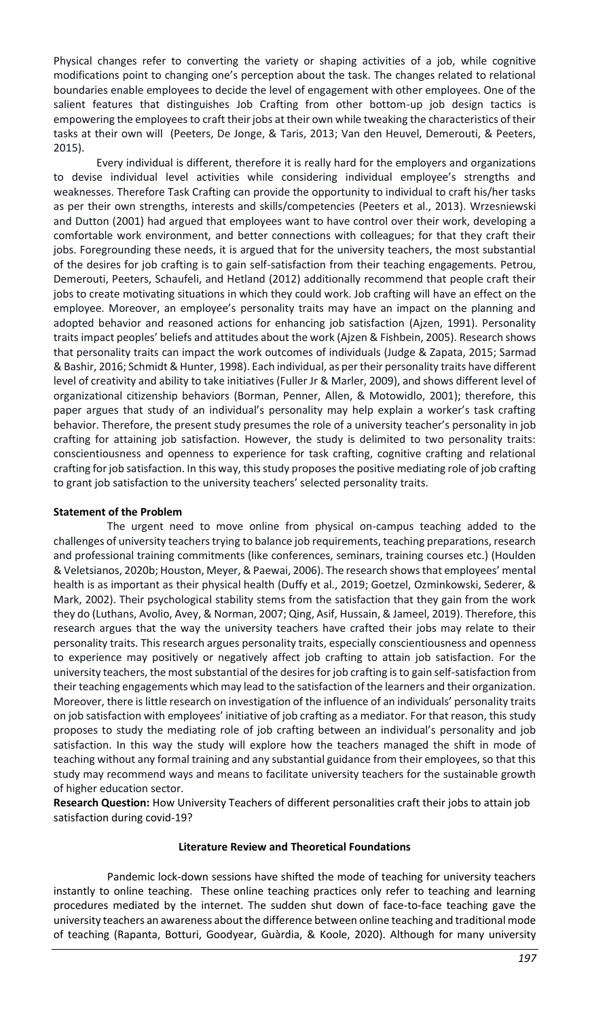Physical changes refer to converting the variety or shaping activities of a job, while cognitive modifications point to changing one's perception about the task. The changes related to relational boundaries enable employees to decide the level of engagement with other employees. One of the salient features that distinguishes Job Crafting from other bottom-up job design tactics is empowering the employees to craft their jobs at their own while tweaking the characteristics of their tasks at their own will [\(Peeters, De Jonge, & Taris, 2013;](#page-10-3) [Van den Heuvel, Demerouti, & Peeters,](#page-11-2)  [2015\)](#page-11-2).

Every individual is different, therefore it is really hard for the employers and organizations to devise individual level activities while considering individual employee's strengths and weaknesses. Therefore Task Crafting can provide the opportunity to individual to craft his/her tasks as per their own strengths, interests and skills/competencies [\(Peeters et al., 2013\)](#page-10-3)[. Wrzesniewski](#page-11-1)  [and Dutton \(2001\)](#page-11-1) had argued that employees want to have control over their work, developing a comfortable work environment, and better connections with colleagues; for that they craft their jobs. Foregrounding these needs, it is argued that for the university teachers, the most substantial of the desires for job crafting is to gain self-satisfaction from their teaching engagements. [Petrou,](#page-10-4)  [Demerouti, Peeters, Schaufeli, and Hetland \(2012\)](#page-10-4) additionally recommend that people craft their jobs to create motivating situations in which they could work. Job crafting will have an effect on the employee. Moreover, an employee's personality traits may have an impact on the planning and adopted behavior and reasoned actions for enhancing job satisfaction [\(Ajzen,](#page-9-2) 1991). Personality traits impact peoples' beliefs and attitudes about the work [\(Ajzen & Fishbein, 2005\).](#page-9-3) Research shows that personality traits can impact the work outcomes of individuals [\(Judge & Zapata, 2015;](#page-10-5) [Sarmad](#page-10-6)  [& Bashir, 2016;](#page-10-6) [Schmidt & Hunter, 1998\)](#page-10-7). Each individual, as per their personality traits have different level of creativity and ability to take initiatives [\(Fuller Jr & Marler, 2009\),](#page-9-4) and shows different level of organizational citizenship behaviors [\(Borman, Penner, Allen, & Motowidlo, 2001\)](#page-9-5); therefore, this paper argues that study of an individual's personality may help explain a worker's task crafting behavior. Therefore, the present study presumes the role of a university teacher's personality in job crafting for attaining job satisfaction. However, the study is delimited to two personality traits: conscientiousness and openness to experience for task crafting, cognitive crafting and relational crafting for job satisfaction. In this way, this study proposes the positive mediating role of job crafting to grant job satisfaction to the university teachers' selected personality traits.

### **Statement of the Problem**

The urgent need to move online from physical on-campus teaching added to the challenges of university teachers trying to balance job requirements, teaching preparations, research and professional training commitments (like conferences, seminars, training courses etc.) [\(Houlden](#page-9-6)  [& Veletsianos, 2020b;](#page-9-6) [Houston, Meyer, & Paewai, 2006\)](#page-10-8). The research shows that employees' mental health is as important as their physical health [\(Duffy et al., 2019;](#page-9-7) [Goetzel, Ozminkowski, Sederer, &](#page-9-8)  [Mark, 2002\).](#page-9-8) Their psychological stability stems from the satisfaction that they gain from the work they do [\(Luthans, Avolio, Avey, & Norman, 2007;](#page-10-9) [Qing, Asif, Hussain, & Jameel, 2019\).](#page-10-10) Therefore, this research argues that the way the university teachers have crafted their jobs may relate to their personality traits. This research argues personality traits, especially conscientiousness and openness to experience may positively or negatively affect job crafting to attain job satisfaction. For the university teachers, the most substantial of the desires for job crafting is to gain self-satisfaction from their teaching engagements which may lead to the satisfaction of the learners and their organization. Moreover, there is little research on investigation of the influence of an individuals' personality traits on job satisfaction with employees' initiative of job crafting as a mediator. For that reason, this study proposes to study the mediating role of job crafting between an individual's personality and job satisfaction. In this way the study will explore how the teachers managed the shift in mode of teaching without any formal training and any substantial guidance from their employees, so that this study may recommend ways and means to facilitate university teachers for the sustainable growth of higher education sector.

**Research Question:** How University Teachers of different personalities craft their jobs to attain job satisfaction during covid-19?

### **Literature Review and Theoretical Foundations**

Pandemic lock-down sessions have shifted the mode of teaching for university teachers instantly to online teaching. These online teaching practices only refer to teaching and learning procedures mediated by the internet. The sudden shut down of face-to-face teaching gave the university teachers an awareness about the difference between online teaching and traditional mode of teaching [\(Rapanta, Botturi, Goodyear, Guàrdia, & Koole, 2020\).](#page-10-11) Although for many university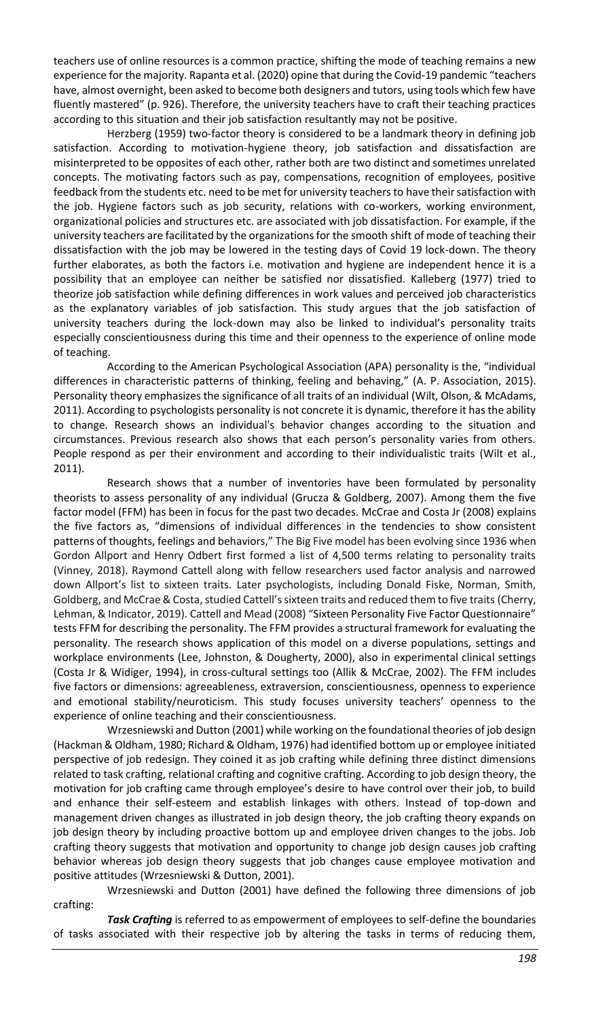teachers use of online resources is a common practice, shifting the mode of teaching remains a new experience for the majority[. Rapanta et al. \(2020\)](#page-10-11) opine that during the Covid-19 pandemic "teachers have, almost overnight, been asked to become both designers and tutors, using tools which few have fluently mastered" (p. 926). Therefore, the university teachers have to craft their teaching practices according to this situation and their job satisfaction resultantly may not be positive.

[Herzberg \(1959\)](#page-9-9) two-factor theory is considered to be a landmark theory in defining job satisfaction. According to motivation-hygiene theory, job satisfaction and dissatisfaction are misinterpreted to be opposites of each other, rather both are two distinct and sometimes unrelated concepts. The motivating factors such as pay, compensations, recognition of employees, positive feedback from the students etc. need to be met for university teachers to have their satisfaction with the job. Hygiene factors such as job security, relations with co-workers, working environment, organizational policies and structures etc. are associated with job dissatisfaction. For example, if the university teachers are facilitated by the organizations for the smooth shift of mode of teaching their dissatisfaction with the job may be lowered in the testing days of Covid 19 lock-down. The theory further elaborates, as both the factors i.e. motivation and hygiene are independent hence it is a possibility that an employee can neither be satisfied nor dissatisfied. [Kalleberg \(1977\)](#page-10-12) tried to theorize job satisfaction while defining differences in work values and perceived job characteristics as the explanatory variables of job satisfaction. This study argues that the job satisfaction of university teachers during the lock-down may also be linked to individual's personality traits especially conscientiousness during this time and their openness to the experience of online mode of teaching.

According to the American Psychological Association (APA) personality is the, "individual differences in characteristic patterns of thinking, feeling and behaving," ([A. P. Association, 2015\)](https://docs.google.com/document/d/1NSXdznHmB9OhJ4ukd62uZcgImDeBI6SH/edit#heading=h.42ddq1a). Personality theory emphasizes the significance of all traits of an individual [\(Wilt, Olson, & McAdams,](#page-11-3)  [2011\)](#page-11-3). According to psychologists personality is not concrete it is dynamic, therefore it has the ability to change. Research shows an individual's behavior changes according to the situation and circumstances. Previous research also shows that each person's personality varies from others. People respond as per their environment and according to their individualistic traits (Wilt et al., [2011\)](#page-11-3).

Research shows that a number of inventories have been formulated by personality theorists to assess personality of any individual [\(Grucza & Goldberg, 2007\)](#page-9-10). Among them the five factor model (FFM) has been in focus for the past two decades. [McCrae and Costa Jr \(2008\)](#page-10-13) explains the five factors as, "dimensions of individual differences in the tendencies to show consistent patterns of thoughts, feelings and behaviors," The Big Five model has been evolving since 1936 when Gordon Allport and Henry Odbert first formed a list of 4,500 terms relating to personality traits [\(Vinney, 2018\)](#page-11-4). Raymond Cattell along with fellow researchers used factor analysis and narrowed down Allport's list to sixteen traits. Later psychologists, including Donald Fiske, Norman, Smith, Goldberg, and McCrae & Costa, studied Cattell's sixteen traits and reduced them to five traits [\(Cherry,](#page-9-11)  [Lehman, & Indicator, 2019\)](#page-9-11)[. Cattell and Mead \(2008\)](#page-9-12) "Sixteen Personality Five Factor Questionnaire" tests FFM for describing the personality. The FFM provides a structural framework for evaluating the personality. The research shows application of this model on a diverse populations, settings and workplace environments [\(Lee, Johnston, & Dougherty, 2000\)](#page-10-14), also in experimental clinical settings [\(Costa Jr & Widiger, 1994\)](#page-9-13), in cross-cultural settings too [\(Allik & McCrae, 2002\).](#page-9-14) The FFM includes five factors or dimensions: agreeableness, extraversion, conscientiousness, openness to experience and emotional stability/neuroticism. This study focuses university teachers' openness to the experience of online teaching and their conscientiousness.

[Wrzesniewski and Dutton \(2001\)](#page-11-1) while working on the foundational theories of job design [\(Hackman & Oldham, 1980;](#page-9-15) [Richard & Oldham, 1976\)](#page-10-15) had identified bottom up or employee initiated perspective of job redesign. They coined it as job crafting while defining three distinct dimensions related to task crafting, relational crafting and cognitive crafting. According to job design theory, the motivation for job crafting came through employee's desire to have control over their job, to build and enhance their self-esteem and establish linkages with others. Instead of top-down and management driven changes as illustrated in job design theory, the job crafting theory expands on job design theory by including proactive bottom up and employee driven changes to the jobs. Job crafting theory suggests that motivation and opportunity to change job design causes job crafting behavior whereas job design theory suggests that job changes cause employee motivation and positive attitudes [\(Wrzesniewski & Dutton, 2001\).](#page-11-1)

[Wrzesniewski and Dutton \(2001\)](#page-11-1) have defined the following three dimensions of job crafting:

*Task Crafting* is referred to as empowerment of employees to self-define the boundaries of tasks associated with their respective job by altering the tasks in terms of reducing them,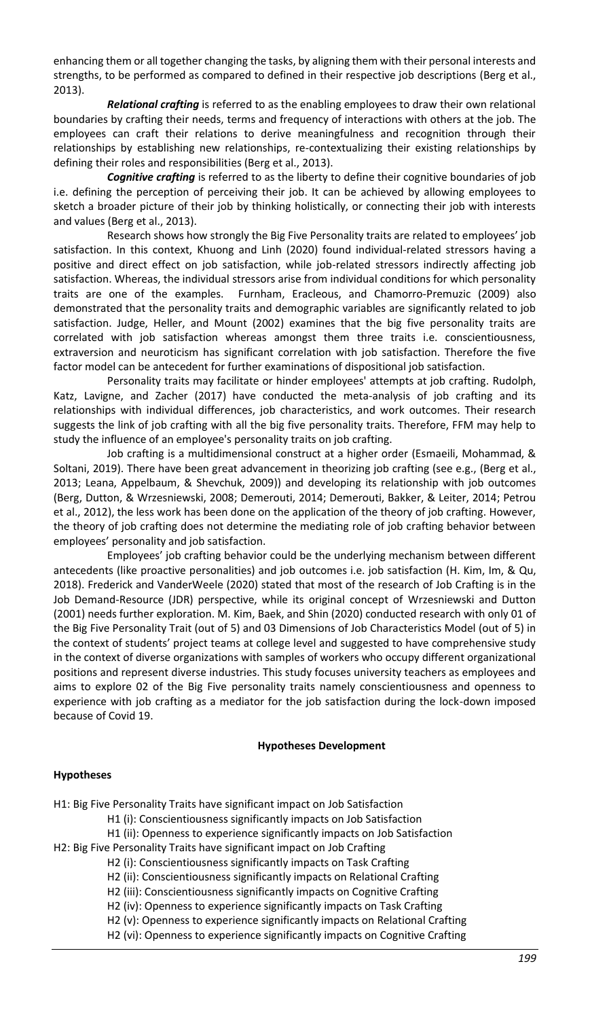enhancing them or all together changing the tasks, by aligning them with their personal interests and strengths, to be performed as compared to defined in their respective job descriptions [\(Berg et al.,](#page-9-1)  [2013\)](#page-9-1).

*Relational crafting* is referred to as the enabling employees to draw their own relational boundaries by crafting their needs, terms and frequency of interactions with others at the job. The employees can craft their relations to derive meaningfulness and recognition through their relationships by establishing new relationships, re-contextualizing their existing relationships by defining their roles and responsibilities [\(Berg et al., 2013\).](#page-9-1)

*Cognitive crafting* is referred to as the liberty to define their cognitive boundaries of job i.e. defining the perception of perceiving their job. It can be achieved by allowing employees to sketch a broader picture of their job by thinking holistically, or connecting their job with interests and values [\(Berg et al., 2013\)](#page-9-1).

Research shows how strongly the Big Five Personality traits are related to employees' job satisfaction. In this context, [Khuong and Linh \(2020\)](#page-10-16) found individual-related stressors having a positive and direct effect on job satisfaction, while job-related stressors indirectly affecting job satisfaction. Whereas, the individual stressors arise from individual conditions for which personality traits are one of the examples. [Furnham, Eracleous, and Chamorro‐Premuzic \(2009](#page-9-16)) also demonstrated that the personality traits and demographic variables are significantly related to job satisfaction. [Judge, Heller, and Mount \(2002\)](#page-10-17) examines that the big five personality traits are correlated with job satisfaction whereas amongst them three traits i.e. conscientiousness, extraversion and neuroticism has significant correlation with job satisfaction. Therefore the five factor model can be antecedent for further examinations of dispositional job satisfaction.

Personality traits may facilitate or hinder employees' attempts at job crafting. [Rudolph,](#page-10-18)  [Katz, Lavigne, and Zacher \(2017\)](#page-10-18) have conducted the meta-analysis of job crafting and its relationships with individual differences, job characteristics, and work outcomes. Their research suggests the link of job crafting with all the big five personality traits. Therefore, FFM may help to study the influence of an employee's personality traits on job crafting.

Job crafting is a multidimensional construct at a higher order [\(Esmaeili, Mohammad, &](#page-9-17)  [Soltani, 2019\)](#page-9-17). There have been great advancement in theorizing job crafting (see e.g., [\(Berg et al.,](#page-9-1)  [2013;](#page-9-1) [Leana, Appelbaum, & Shevchuk, 2009\)](#page-10-19)) and developing its relationship with job outcomes [\(Berg, Dutton, & Wrzesniewski, 2008;](#page-9-18) [Demerouti, 2014;](#page-9-0) [Demerouti, Bakker, & Leiter, 2014;](#page-9-19) [Petrou](#page-10-4)  [et al., 2012\),](#page-10-4) the less work has been done on the application of the theory of job crafting. However, the theory of job crafting does not determine the mediating role of job crafting behavior between employees' personality and job satisfaction.

Employees' job crafting behavior could be the underlying mechanism between different antecedents (like proactive personalities) and job outcomes i.e. job satisfaction [\(H. Kim, Im, & Qu,](#page-10-20)  [2018\)](#page-10-20). [Frederick and VanderWeele \(2020\)](#page-9-20) stated that most of the research of Job Crafting is in the Job Demand-Resource (JDR) perspective, while its original concept of [Wrzesniewski and Dutton](https://docs.google.com/document/d/1NSXdznHmB9OhJ4ukd62uZcgImDeBI6SH/edit#heading=h.j8sehv)  [\(2001\)](https://docs.google.com/document/d/1NSXdznHmB9OhJ4ukd62uZcgImDeBI6SH/edit#heading=h.j8sehv) needs further exploration[. M. Kim, Baek, and Shin \(2020\)](#page-10-21) conducted research with only 01 of the Big Five Personality Trait (out of 5) and 03 Dimensions of Job Characteristics Model (out of 5) in the context of students' project teams at college level and suggested to have comprehensive study in the context of diverse organizations with samples of workers who occupy different organizational positions and represent diverse industries. This study focuses university teachers as employees and aims to explore 02 of the Big Five personality traits namely conscientiousness and openness to experience with job crafting as a mediator for the job satisfaction during the lock-down imposed because of Covid 19.

#### **Hypotheses Development**

### **Hypotheses**

H1: Big Five Personality Traits have significant impact on Job Satisfaction

H1 (i): Conscientiousness significantly impacts on Job Satisfaction

H1 (ii): Openness to experience significantly impacts on Job Satisfaction

H2: Big Five Personality Traits have significant impact on Job Crafting

H2 (i): Conscientiousness significantly impacts on Task Crafting

H2 (ii): Conscientiousness significantly impacts on Relational Crafting

H2 (iii): Conscientiousness significantly impacts on Cognitive Crafting

H2 (iv): Openness to experience significantly impacts on Task Crafting

H2 (v): Openness to experience significantly impacts on Relational Crafting

H2 (vi): Openness to experience significantly impacts on Cognitive Crafting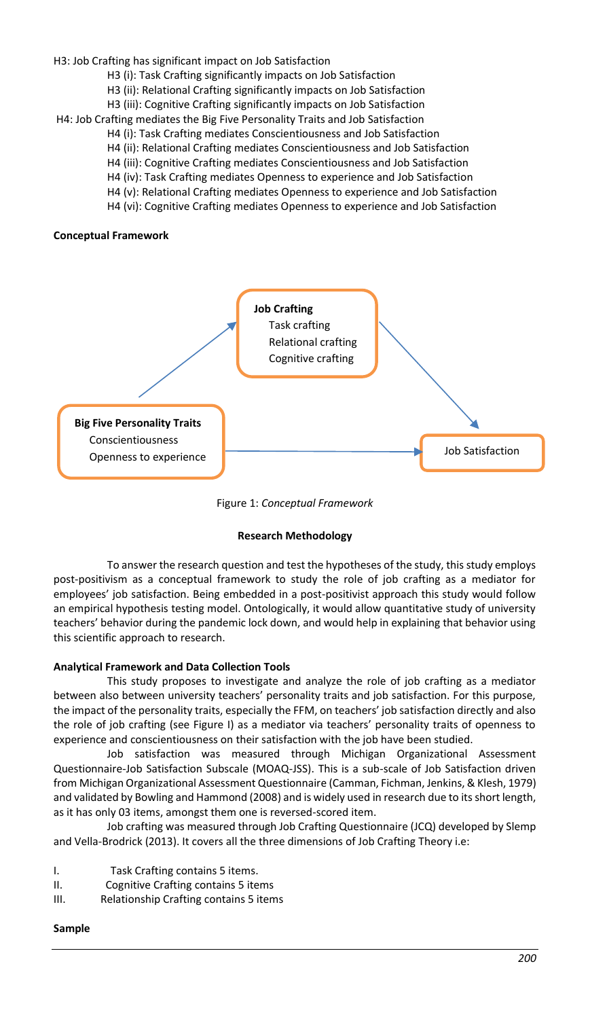H3: Job Crafting has significant impact on Job Satisfaction

- H3 (i): Task Crafting significantly impacts on Job Satisfaction
- H3 (ii): Relational Crafting significantly impacts on Job Satisfaction
- H3 (iii): Cognitive Crafting significantly impacts on Job Satisfaction

H4: Job Crafting mediates the Big Five Personality Traits and Job Satisfaction

- H4 (i): Task Crafting mediates Conscientiousness and Job Satisfaction
	- H4 (ii): Relational Crafting mediates Conscientiousness and Job Satisfaction
	- H4 (iii): Cognitive Crafting mediates Conscientiousness and Job Satisfaction
	- H4 (iv): Task Crafting mediates Openness to experience and Job Satisfaction
	- H4 (v): Relational Crafting mediates Openness to experience and Job Satisfaction
	- H4 (vi): Cognitive Crafting mediates Openness to experience and Job Satisfaction

#### **Conceptual Framework**



Figure 1: *Conceptual Framework*

### **Research Methodology**

To answer the research question and test the hypotheses of the study, this study employs post-positivism as a conceptual framework to study the role of job crafting as a mediator for employees' job satisfaction. Being embedded in a post-positivist approach this study would follow an empirical hypothesis testing model. Ontologically, it would allow quantitative study of university teachers' behavior during the pandemic lock down, and would help in explaining that behavior using this scientific approach to research.

### **Analytical Framework and Data Collection Tools**

This study proposes to investigate and analyze the role of job crafting as a mediator between also between university teachers' personality traits and job satisfaction. For this purpose, the impact of the personality traits, especially the FFM, on teachers' job satisfaction directly and also the role of job crafting (see Figure I) as a mediator via teachers' personality traits of openness to experience and conscientiousness on their satisfaction with the job have been studied.

Job satisfaction was measured through Michigan Organizational Assessment Questionnaire-Job Satisfaction Subscale (MOAQ-JSS). This is a sub-scale of Job Satisfaction driven from Michigan Organizational Assessment Questionnaire [\(Camman, Fichman, Jenkins, & Klesh, 1979\)](#page-9-21) and validated b[y Bowling and Hammond \(2008\)](#page-9-22) and is widely used in research due to its short length, as it has only 03 items, amongst them one is reversed-scored item.

Job crafting was measured through Job Crafting Questionnaire (JCQ) developed b[y Slemp](#page-11-5)  [and Vella-Brodrick \(2013\)](#page-11-5). It covers all the three dimensions of Job Crafting Theory i.e:

- I. Task Crafting contains 5 items.
- II. Cognitive Crafting contains 5 items
- III. Relationship Crafting contains 5 items

### **Sample**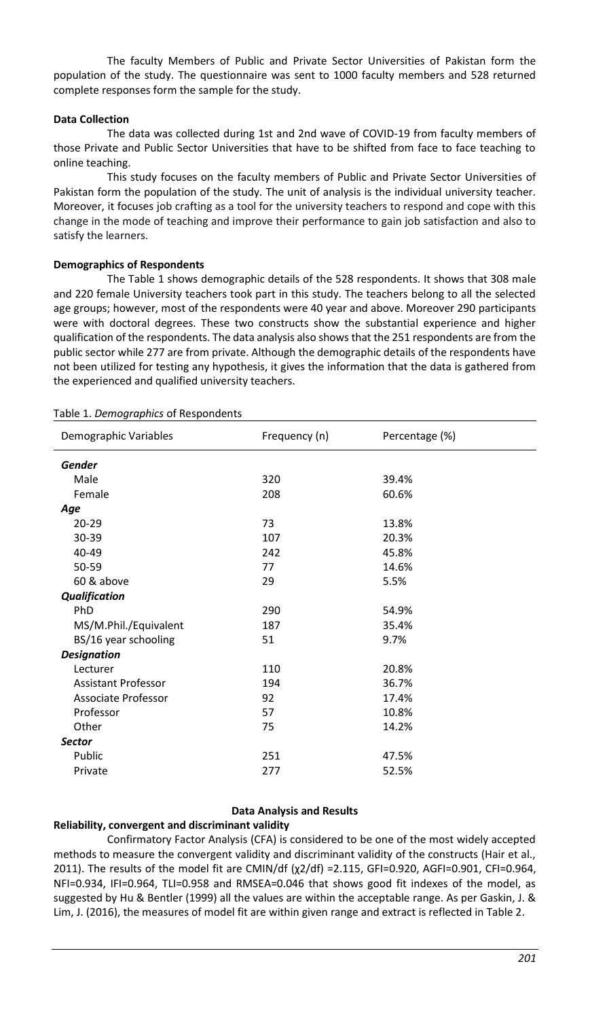The faculty Members of Public and Private Sector Universities of Pakistan form the population of the study. The questionnaire was sent to 1000 faculty members and 528 returned complete responses form the sample for the study.

### **Data Collection**

The data was collected during 1st and 2nd wave of COVID-19 from faculty members of those Private and Public Sector Universities that have to be shifted from face to face teaching to online teaching.

This study focuses on the faculty members of Public and Private Sector Universities of Pakistan form the population of the study. The unit of analysis is the individual university teacher. Moreover, it focuses job crafting as a tool for the university teachers to respond and cope with this change in the mode of teaching and improve their performance to gain job satisfaction and also to satisfy the learners.

## **Demographics of Respondents**

The Table 1 shows demographic details of the 528 respondents. It shows that 308 male and 220 female University teachers took part in this study. The teachers belong to all the selected age groups; however, most of the respondents were 40 year and above. Moreover 290 participants were with doctoral degrees. These two constructs show the substantial experience and higher qualification of the respondents. The data analysis also shows that the 251 respondents are from the public sector while 277 are from private. Although the demographic details of the respondents have not been utilized for testing any hypothesis, it gives the information that the data is gathered from the experienced and qualified university teachers.

| Demographic Variables      | Frequency (n) | Percentage (%) |
|----------------------------|---------------|----------------|
| <b>Gender</b>              |               |                |
| Male                       | 320           | 39.4%          |
| Female                     | 208           | 60.6%          |
| Age                        |               |                |
| $20 - 29$                  | 73            | 13.8%          |
| 30-39                      | 107           | 20.3%          |
| $40 - 49$                  | 242           | 45.8%          |
| 50-59                      | 77            | 14.6%          |
| 60 & above                 | 29            | 5.5%           |
| <b>Qualification</b>       |               |                |
| PhD                        | 290           | 54.9%          |
| MS/M.Phil./Equivalent      | 187           | 35.4%          |
| BS/16 year schooling       | 51            | 9.7%           |
| <b>Designation</b>         |               |                |
| Lecturer                   | 110           | 20.8%          |
| <b>Assistant Professor</b> | 194           | 36.7%          |
| <b>Associate Professor</b> | 92            | 17.4%          |
| Professor                  | 57            | 10.8%          |
| Other                      | 75            | 14.2%          |
| <b>Sector</b>              |               |                |
| Public                     | 251           | 47.5%          |
| Private                    | 277           | 52.5%          |

#### Table 1. *Demographics* of Respondents

### **Data Analysis and Results**

### **Reliability, convergent and discriminant validity**

Confirmatory Factor Analysis (CFA) is considered to be one of the most widely accepted methods to measure the convergent validity and discriminant validity of the constructs (Hair et al., 2011). The results of the model fit are CMIN/df (χ2/df) =2.115, GFI=0.920, AGFI=0.901, CFI=0.964, NFI=0.934, IFI=0.964, TLI=0.958 and RMSEA=0.046 that shows good fit indexes of the model, as suggested by Hu & Bentler (1999) all the values are within the acceptable range. As per Gaskin, J. & Lim, J. (2016), the measures of model fit are within given range and extract is reflected in Table 2.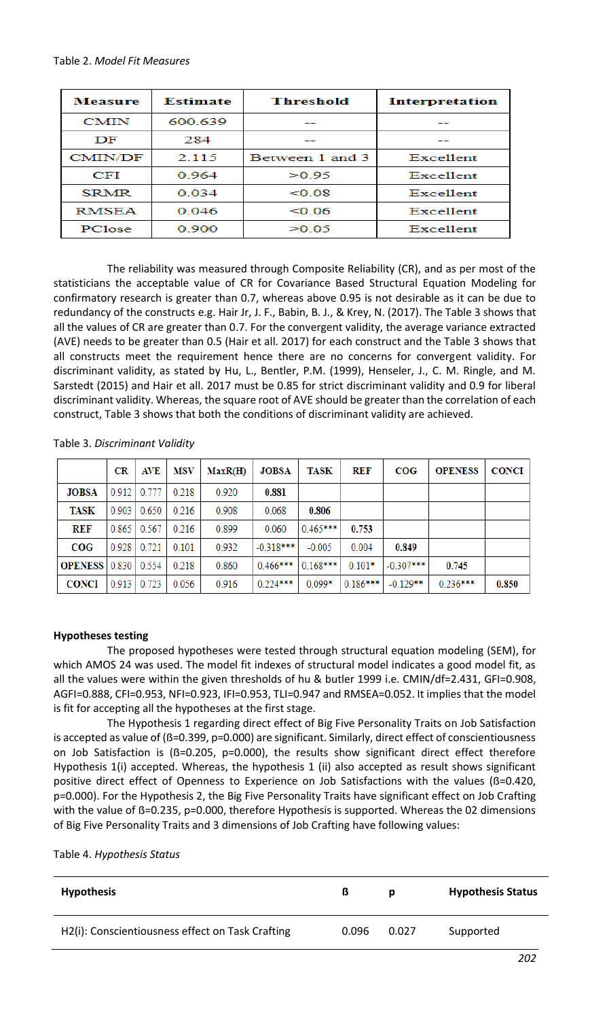| <b>Measure</b> | Estimate | <b>Threshold</b> | <b>Interpretation</b> |  |
|----------------|----------|------------------|-----------------------|--|
| <b>CMIN</b>    | 600.639  |                  |                       |  |
| DF             | 284      |                  |                       |  |
| <b>CMIN/DF</b> | 2.115    | Between 1 and 3  | <b>Excellent</b>      |  |
| CFI            | 0.964    | >0.95            | Excellent             |  |
| <b>SRMR</b>    | 0.034    | < 0.08           | Excellent             |  |
| RMSEA          | 0.046    | < 0.06           | <b>Excellent</b>      |  |
| PClose         | 0.900    | >0.05            | Excellent             |  |

The reliability was measured through Composite Reliability (CR), and as per most of the statisticians the acceptable value of CR for Covariance Based Structural Equation Modeling for confirmatory research is greater than 0.7, whereas above 0.95 is not desirable as it can be due to redundancy of the constructs e.g. Hair Jr, J. F., Babin, B. J., & Krey, N. (2017). The Table 3 shows that all the values of CR are greater than 0.7. For the convergent validity, the average variance extracted (AVE) needs to be greater than 0.5 (Hair et all. 2017) for each construct and the Table 3 shows that all constructs meet the requirement hence there are no concerns for convergent validity. For discriminant validity, as stated by Hu, L., Bentler, P.M. (1999), Henseler, J., C. M. Ringle, and M. Sarstedt (2015) and Hair et all. 2017 must be 0.85 for strict discriminant validity and 0.9 for liberal discriminant validity. Whereas, the square root of AVE should be greater than the correlation of each construct, Table 3 shows that both the conditions of discriminant validity are achieved.

| Table 3. Discriminant Validity |
|--------------------------------|
|--------------------------------|

|                                | $_{\rm CR}$ | AVE                | MSV   | MaxR(H) | <b>JOBSA</b> | <b>TASK</b> | <b>REF</b> | COG         | <b>OPENESS</b> | <b>CONCI</b> |
|--------------------------------|-------------|--------------------|-------|---------|--------------|-------------|------------|-------------|----------------|--------------|
| <b>JOBSA</b>                   |             | $0.912 \mid 0.777$ | 0.218 | 0.920   | 0.881        |             |            |             |                |              |
| <b>TASK</b>                    | 0.903       | 0.650              | 0.216 | 0.908   | 0.068        | 0.806       |            |             |                |              |
| <b>REF</b>                     |             | $0.865$ 0.567      | 0.216 | 0.899   | 0.060        | $0.465***$  | 0.753      |             |                |              |
| COG                            |             | 0.928 0.721        | 0.101 | 0.932   | $-0.318***$  | $-0.005$    | 0.004      | 0.849       |                |              |
| <b>OPENESS</b>   0.830   0.554 |             |                    | 0.218 | 0.860   | $0.466***$   | $0.168***$  | $0.101*$   | $-0.307***$ | 0.745          |              |
| <b>CONCI</b>                   | 0.913       | 0.723              | 0.056 | 0.916   | $0.224***$   | $0.099*$    | $0.186***$ | $-0.129**$  | $0.236***$     | 0.850        |

### **Hypotheses testing**

The proposed hypotheses were tested through structural equation modeling (SEM), for which AMOS 24 was used. The model fit indexes of structural model indicates a good model fit, as all the values were within the given thresholds of hu & butler 1999 i.e. CMIN/df=2.431, GFI=0.908, AGFI=0.888, CFI=0.953, NFI=0.923, IFI=0.953, TLI=0.947 and RMSEA=0.052. It implies that the model is fit for accepting all the hypotheses at the first stage.

The Hypothesis 1 regarding direct effect of Big Five Personality Traits on Job Satisfaction is accepted as value of (ß=0.399, p=0.000) are significant. Similarly, direct effect of conscientiousness on Job Satisfaction is  $(ß=0.205, p=0.000)$ , the results show significant direct effect therefore Hypothesis 1(i) accepted. Whereas, the hypothesis 1 (ii) also accepted as result shows significant positive direct effect of Openness to Experience on Job Satisfactions with the values (ß=0.420, p=0.000). For the Hypothesis 2, the Big Five Personality Traits have significant effect on Job Crafting with the value of B=0.235, p=0.000, therefore Hypothesis is supported. Whereas the 02 dimensions of Big Five Personality Traits and 3 dimensions of Job Crafting have following values:

| <b>Hypothesis</b>                                | ß     |       | <b>Hypothesis Status</b> |
|--------------------------------------------------|-------|-------|--------------------------|
| H2(i): Conscientiousness effect on Task Crafting | 0.096 | 0.027 | Supported                |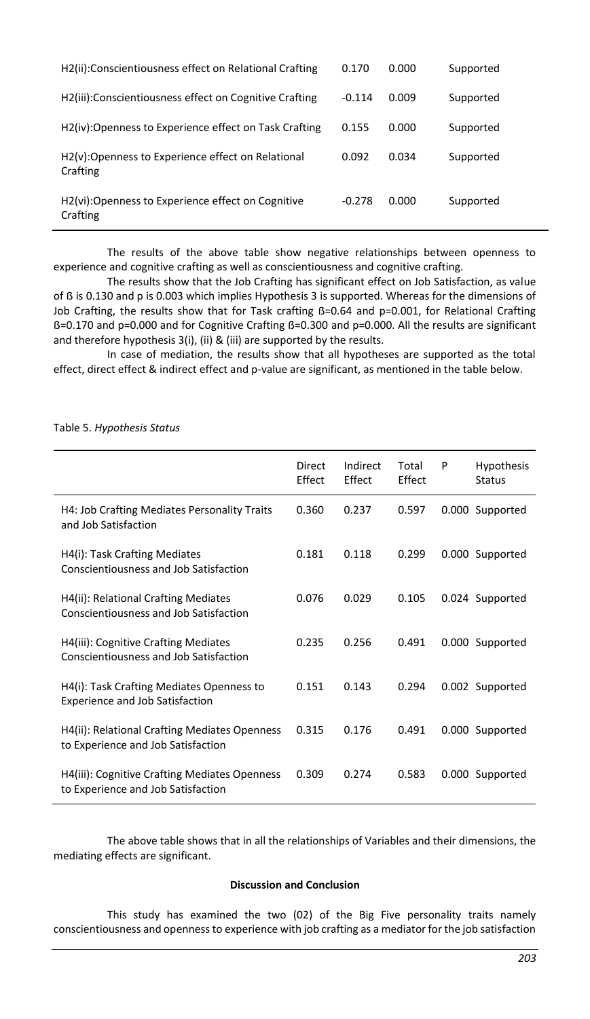| H2(ii):Conscientiousness effect on Relational Crafting        | 0.170    | 0.000 | Supported |
|---------------------------------------------------------------|----------|-------|-----------|
| H2(iii): Conscientiousness effect on Cognitive Crafting       | $-0.114$ | 0.009 | Supported |
| H2(iv):Openness to Experience effect on Task Crafting         | 0.155    | 0.000 | Supported |
| H2(y):Openness to Experience effect on Relational<br>Crafting | 0.092    | 0.034 | Supported |
| H2(vi):Openness to Experience effect on Cognitive<br>Crafting | $-0.278$ | 0.000 | Supported |

The results of the above table show negative relationships between openness to experience and cognitive crafting as well as conscientiousness and cognitive crafting.

The results show that the Job Crafting has significant effect on Job Satisfaction, as value of ß is 0.130 and p is 0.003 which implies Hypothesis 3 is supported. Whereas for the dimensions of Job Crafting, the results show that for Task crafting B=0.64 and p=0.001, for Relational Crafting ß=0.170 and p=0.000 and for Cognitive Crafting ß=0.300 and p=0.000. All the results are significant and therefore hypothesis 3(i), (ii) & (iii) are supported by the results.

In case of mediation, the results show that all hypotheses are supported as the total effect, direct effect & indirect effect and p-value are significant, as mentioned in the table below.

#### Table 5. *Hypothesis Status*

|                                                                                     | Direct<br>Effect | Indirect<br><b>Fffect</b> | Total<br>Effect | P | <b>Hypothesis</b><br>Status |
|-------------------------------------------------------------------------------------|------------------|---------------------------|-----------------|---|-----------------------------|
| H4: Job Crafting Mediates Personality Traits<br>and Job Satisfaction                | 0.360            | 0.237                     | 0.597           |   | 0.000 Supported             |
| H4(i): Task Crafting Mediates<br>Conscientiousness and Job Satisfaction             | 0.181            | 0.118                     | 0.299           |   | 0.000 Supported             |
| H4(ii): Relational Crafting Mediates<br>Conscientiousness and Job Satisfaction      | 0.076            | 0.029                     | 0.105           |   | 0.024 Supported             |
| H4(iii): Cognitive Crafting Mediates<br>Conscientiousness and Job Satisfaction      | 0.235            | 0.256                     | 0.491           |   | 0.000 Supported             |
| H4(i): Task Crafting Mediates Openness to<br><b>Experience and Job Satisfaction</b> | 0.151            | 0.143                     | 0.294           |   | 0.002 Supported             |
| H4(ii): Relational Crafting Mediates Openness<br>to Experience and Job Satisfaction | 0.315            | 0.176                     | 0.491           |   | 0.000 Supported             |
| H4(iii): Cognitive Crafting Mediates Openness<br>to Experience and Job Satisfaction | 0.309            | 0.274                     | 0.583           |   | 0.000 Supported             |

The above table shows that in all the relationships of Variables and their dimensions, the mediating effects are significant.

#### **Discussion and Conclusion**

This study has examined the two (02) of the Big Five personality traits namely conscientiousness and openness to experience with job crafting as a mediator for the job satisfaction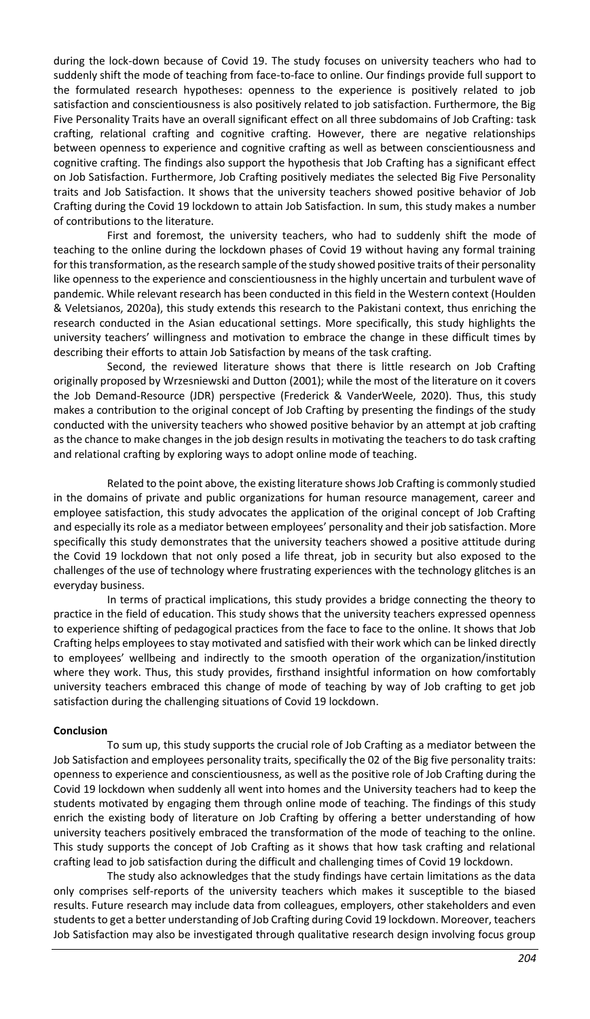during the lock-down because of Covid 19. The study focuses on university teachers who had to suddenly shift the mode of teaching from face-to-face to online. Our findings provide full support to the formulated research hypotheses: openness to the experience is positively related to job satisfaction and conscientiousness is also positively related to job satisfaction. Furthermore, the Big Five Personality Traits have an overall significant effect on all three subdomains of Job Crafting: task crafting, relational crafting and cognitive crafting. However, there are negative relationships between openness to experience and cognitive crafting as well as between conscientiousness and cognitive crafting. The findings also support the hypothesis that Job Crafting has a significant effect on Job Satisfaction. Furthermore, Job Crafting positively mediates the selected Big Five Personality traits and Job Satisfaction. It shows that the university teachers showed positive behavior of Job Crafting during the Covid 19 lockdown to attain Job Satisfaction. In sum, this study makes a number of contributions to the literature.

First and foremost, the university teachers, who had to suddenly shift the mode of teaching to the online during the lockdown phases of Covid 19 without having any formal training for this transformation, as the research sample of the study showed positive traits of their personality like openness to the experience and conscientiousness in the highly uncertain and turbulent wave of pandemic. While relevant research has been conducted in this field in the Western context [\(Houlden](#page-9-23)  [& Veletsianos, 2020a\),](#page-9-23) this study extends this research to the Pakistani context, thus enriching the research conducted in the Asian educational settings. More specifically, this study highlights the university teachers' willingness and motivation to embrace the change in these difficult times by describing their efforts to attain Job Satisfaction by means of the task crafting.

Second, the reviewed literature shows that there is little research on Job Crafting originally proposed b[y Wrzesniewski and Dutton \(2001\)](#page-11-1); while the most of the literature on it covers the Job Demand-Resource (JDR) perspective [\(Frederick & VanderWeele, 2020\)](#page-9-20). Thus, this study makes a contribution to the original concept of Job Crafting by presenting the findings of the study conducted with the university teachers who showed positive behavior by an attempt at job crafting as the chance to make changes in the job design results in motivating the teachers to do task crafting and relational crafting by exploring ways to adopt online mode of teaching.

Related to the point above, the existing literature shows Job Crafting is commonly studied in the domains of private and public organizations for human resource management, career and employee satisfaction, this study advocates the application of the original concept of Job Crafting and especially its role as a mediator between employees' personality and their job satisfaction. More specifically this study demonstrates that the university teachers showed a positive attitude during the Covid 19 lockdown that not only posed a life threat, job in security but also exposed to the challenges of the use of technology where frustrating experiences with the technology glitches is an everyday business.

In terms of practical implications, this study provides a bridge connecting the theory to practice in the field of education. This study shows that the university teachers expressed openness to experience shifting of pedagogical practices from the face to face to the online. It shows that Job Crafting helps employees to stay motivated and satisfied with their work which can be linked directly to employees' wellbeing and indirectly to the smooth operation of the organization/institution where they work. Thus, this study provides, firsthand insightful information on how comfortably university teachers embraced this change of mode of teaching by way of Job crafting to get job satisfaction during the challenging situations of Covid 19 lockdown.

### **Conclusion**

To sum up, this study supports the crucial role of Job Crafting as a mediator between the Job Satisfaction and employees personality traits, specifically the 02 of the Big five personality traits: openness to experience and conscientiousness, as well as the positive role of Job Crafting during the Covid 19 lockdown when suddenly all went into homes and the University teachers had to keep the students motivated by engaging them through online mode of teaching. The findings of this study enrich the existing body of literature on Job Crafting by offering a better understanding of how university teachers positively embraced the transformation of the mode of teaching to the online. This study supports the concept of Job Crafting as it shows that how task crafting and relational crafting lead to job satisfaction during the difficult and challenging times of Covid 19 lockdown.

The study also acknowledges that the study findings have certain limitations as the data only comprises self-reports of the university teachers which makes it susceptible to the biased results. Future research may include data from colleagues, employers, other stakeholders and even students to get a better understanding of Job Crafting during Covid 19 lockdown. Moreover, teachers Job Satisfaction may also be investigated through qualitative research design involving focus group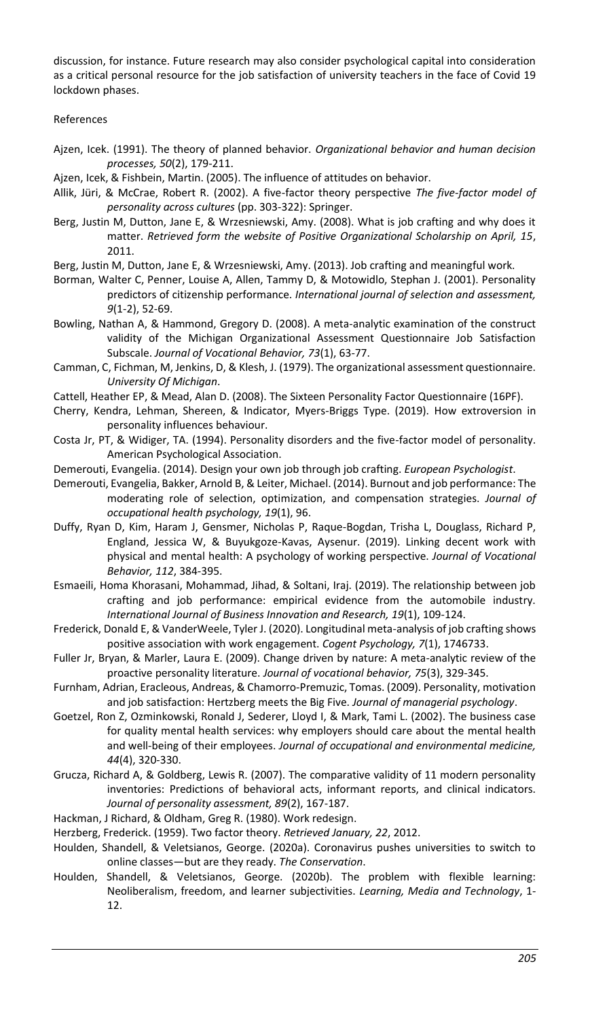discussion, for instance. Future research may also consider psychological capital into consideration as a critical personal resource for the job satisfaction of university teachers in the face of Covid 19 lockdown phases.

References

- <span id="page-9-2"></span>Ajzen, Icek. (1991). The theory of planned behavior. *Organizational behavior and human decision processes, 50*(2), 179-211.
- <span id="page-9-3"></span>Ajzen, Icek, & Fishbein, Martin. (2005). The influence of attitudes on behavior.
- <span id="page-9-14"></span>Allik, Jüri, & McCrae, Robert R. (2002). A five-factor theory perspective *The five-factor model of personality across cultures* (pp. 303-322): Springer.
- <span id="page-9-18"></span>Berg, Justin M, Dutton, Jane E, & Wrzesniewski, Amy. (2008). What is job crafting and why does it matter. *Retrieved form the website of Positive Organizational Scholarship on April, 15*, 2011.
- <span id="page-9-1"></span>Berg, Justin M, Dutton, Jane E, & Wrzesniewski, Amy. (2013). Job crafting and meaningful work.
- <span id="page-9-5"></span>Borman, Walter C, Penner, Louise A, Allen, Tammy D, & Motowidlo, Stephan J. (2001). Personality predictors of citizenship performance. *International journal of selection and assessment, 9*(1‐2), 52-69.
- <span id="page-9-22"></span>Bowling, Nathan A, & Hammond, Gregory D. (2008). A meta-analytic examination of the construct validity of the Michigan Organizational Assessment Questionnaire Job Satisfaction Subscale. *Journal of Vocational Behavior, 73*(1), 63-77.
- <span id="page-9-21"></span>Camman, C, Fichman, M, Jenkins, D, & Klesh, J. (1979). The organizational assessment questionnaire. *University Of Michigan*.
- <span id="page-9-12"></span>Cattell, Heather EP, & Mead, Alan D. (2008). The Sixteen Personality Factor Questionnaire (16PF).
- <span id="page-9-11"></span>Cherry, Kendra, Lehman, Shereen, & Indicator, Myers-Briggs Type. (2019). How extroversion in personality influences behaviour.
- <span id="page-9-13"></span>Costa Jr, PT, & Widiger, TA. (1994). Personality disorders and the five-factor model of personality. American Psychological Association.
- <span id="page-9-0"></span>Demerouti, Evangelia. (2014). Design your own job through job crafting. *European Psychologist*.
- <span id="page-9-19"></span>Demerouti, Evangelia, Bakker, Arnold B, & Leiter, Michael. (2014). Burnout and job performance: The moderating role of selection, optimization, and compensation strategies. *Journal of occupational health psychology, 19*(1), 96.
- <span id="page-9-7"></span>Duffy, Ryan D, Kim, Haram J, Gensmer, Nicholas P, Raque-Bogdan, Trisha L, Douglass, Richard P, England, Jessica W, & Buyukgoze-Kavas, Aysenur. (2019). Linking decent work with physical and mental health: A psychology of working perspective. *Journal of Vocational Behavior, 112*, 384-395.
- <span id="page-9-17"></span>Esmaeili, Homa Khorasani, Mohammad, Jihad, & Soltani, Iraj. (2019). The relationship between job crafting and job performance: empirical evidence from the automobile industry. *International Journal of Business Innovation and Research, 19*(1), 109-124.
- <span id="page-9-20"></span>Frederick, Donald E, & VanderWeele, Tyler J. (2020). Longitudinal meta-analysis of job crafting shows positive association with work engagement. *Cogent Psychology, 7*(1), 1746733.
- <span id="page-9-4"></span>Fuller Jr, Bryan, & Marler, Laura E. (2009). Change driven by nature: A meta-analytic review of the proactive personality literature. *Journal of vocational behavior, 75*(3), 329-345.
- <span id="page-9-16"></span>Furnham, Adrian, Eracleous, Andreas, & Chamorro‐Premuzic, Tomas. (2009). Personality, motivation and job satisfaction: Hertzberg meets the Big Five. *Journal of managerial psychology*.
- <span id="page-9-8"></span>Goetzel, Ron Z, Ozminkowski, Ronald J, Sederer, Lloyd I, & Mark, Tami L. (2002). The business case for quality mental health services: why employers should care about the mental health and well-being of their employees. *Journal of occupational and environmental medicine, 44*(4), 320-330.
- <span id="page-9-10"></span>Grucza, Richard A, & Goldberg, Lewis R. (2007). The comparative validity of 11 modern personality inventories: Predictions of behavioral acts, informant reports, and clinical indicators. *Journal of personality assessment, 89*(2), 167-187.
- <span id="page-9-15"></span>Hackman, J Richard, & Oldham, Greg R. (1980). Work redesign.
- <span id="page-9-9"></span>Herzberg, Frederick. (1959). Two factor theory. *Retrieved January, 22*, 2012.
- <span id="page-9-23"></span>Houlden, Shandell, & Veletsianos, George. (2020a). Coronavirus pushes universities to switch to online classes—but are they ready. *The Conservation*.
- <span id="page-9-6"></span>Houlden, Shandell, & Veletsianos, George. (2020b). The problem with flexible learning: Neoliberalism, freedom, and learner subjectivities. *Learning, Media and Technology*, 1- 12.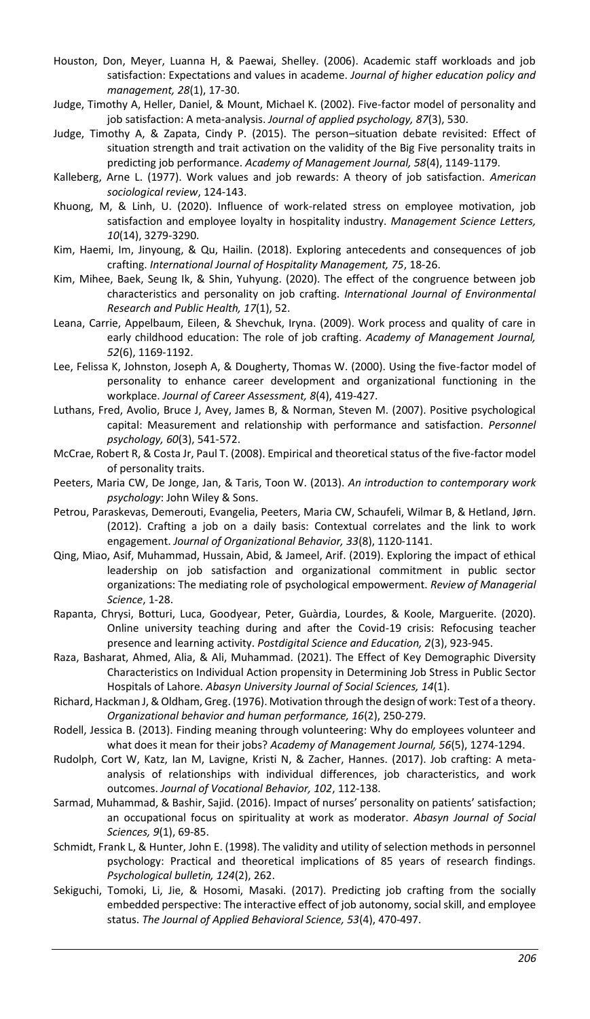- <span id="page-10-8"></span>Houston, Don, Meyer, Luanna H, & Paewai, Shelley. (2006). Academic staff workloads and job satisfaction: Expectations and values in academe. *Journal of higher education policy and management, 28*(1), 17-30.
- <span id="page-10-17"></span>Judge, Timothy A, Heller, Daniel, & Mount, Michael K. (2002). Five-factor model of personality and job satisfaction: A meta-analysis. *Journal of applied psychology, 87*(3), 530.
- <span id="page-10-5"></span>Judge, Timothy A, & Zapata, Cindy P. (2015). The person–situation debate revisited: Effect of situation strength and trait activation on the validity of the Big Five personality traits in predicting job performance. *Academy of Management Journal, 58*(4), 1149-1179.
- <span id="page-10-12"></span>Kalleberg, Arne L. (1977). Work values and job rewards: A theory of job satisfaction. *American sociological review*, 124-143.
- <span id="page-10-16"></span>Khuong, M, & Linh, U. (2020). Influence of work-related stress on employee motivation, job satisfaction and employee loyalty in hospitality industry. *Management Science Letters, 10*(14), 3279-3290.
- <span id="page-10-20"></span>Kim, Haemi, Im, Jinyoung, & Qu, Hailin. (2018). Exploring antecedents and consequences of job crafting. *International Journal of Hospitality Management, 75*, 18-26.
- <span id="page-10-21"></span>Kim, Mihee, Baek, Seung Ik, & Shin, Yuhyung. (2020). The effect of the congruence between job characteristics and personality on job crafting. *International Journal of Environmental Research and Public Health, 17*(1), 52.
- <span id="page-10-19"></span>Leana, Carrie, Appelbaum, Eileen, & Shevchuk, Iryna. (2009). Work process and quality of care in early childhood education: The role of job crafting. *Academy of Management Journal, 52*(6), 1169-1192.
- <span id="page-10-14"></span>Lee, Felissa K, Johnston, Joseph A, & Dougherty, Thomas W. (2000). Using the five-factor model of personality to enhance career development and organizational functioning in the workplace. *Journal of Career Assessment, 8*(4), 419-427.
- <span id="page-10-9"></span>Luthans, Fred, Avolio, Bruce J, Avey, James B, & Norman, Steven M. (2007). Positive psychological capital: Measurement and relationship with performance and satisfaction. *Personnel psychology, 60*(3), 541-572.
- <span id="page-10-13"></span>McCrae, Robert R, & Costa Jr, Paul T. (2008). Empirical and theoretical status of the five-factor model of personality traits.
- <span id="page-10-3"></span>Peeters, Maria CW, De Jonge, Jan, & Taris, Toon W. (2013). *An introduction to contemporary work psychology*: John Wiley & Sons.
- <span id="page-10-4"></span>Petrou, Paraskevas, Demerouti, Evangelia, Peeters, Maria CW, Schaufeli, Wilmar B, & Hetland, Jørn. (2012). Crafting a job on a daily basis: Contextual correlates and the link to work engagement. *Journal of Organizational Behavior, 33*(8), 1120-1141.
- <span id="page-10-10"></span>Qing, Miao, Asif, Muhammad, Hussain, Abid, & Jameel, Arif. (2019). Exploring the impact of ethical leadership on job satisfaction and organizational commitment in public sector organizations: The mediating role of psychological empowerment. *Review of Managerial Science*, 1-28.
- <span id="page-10-11"></span>Rapanta, Chrysi, Botturi, Luca, Goodyear, Peter, Guàrdia, Lourdes, & Koole, Marguerite. (2020). Online university teaching during and after the Covid-19 crisis: Refocusing teacher presence and learning activity. *Postdigital Science and Education, 2*(3), 923-945.
- <span id="page-10-1"></span>Raza, Basharat, Ahmed, Alia, & Ali, Muhammad. (2021). The Effect of Key Demographic Diversity Characteristics on Individual Action propensity in Determining Job Stress in Public Sector Hospitals of Lahore. *Abasyn University Journal of Social Sciences, 14*(1).
- <span id="page-10-15"></span>Richard, Hackman J, & Oldham, Greg. (1976). Motivation through the design of work: Test of a theory. *Organizational behavior and human performance, 16*(2), 250-279.
- <span id="page-10-0"></span>Rodell, Jessica B. (2013). Finding meaning through volunteering: Why do employees volunteer and what does it mean for their jobs? *Academy of Management Journal, 56*(5), 1274-1294.
- <span id="page-10-18"></span>Rudolph, Cort W, Katz, Ian M, Lavigne, Kristi N, & Zacher, Hannes. (2017). Job crafting: A metaanalysis of relationships with individual differences, job characteristics, and work outcomes. *Journal of Vocational Behavior, 102*, 112-138.
- <span id="page-10-6"></span>Sarmad, Muhammad, & Bashir, Sajid. (2016). Impact of nurses' personality on patients' satisfaction; an occupational focus on spirituality at work as moderator. *Abasyn Journal of Social Sciences, 9*(1), 69-85.
- <span id="page-10-7"></span>Schmidt, Frank L, & Hunter, John E. (1998). The validity and utility of selection methods in personnel psychology: Practical and theoretical implications of 85 years of research findings. *Psychological bulletin, 124*(2), 262.
- <span id="page-10-2"></span>Sekiguchi, Tomoki, Li, Jie, & Hosomi, Masaki. (2017). Predicting job crafting from the socially embedded perspective: The interactive effect of job autonomy, social skill, and employee status. *The Journal of Applied Behavioral Science, 53*(4), 470-497.